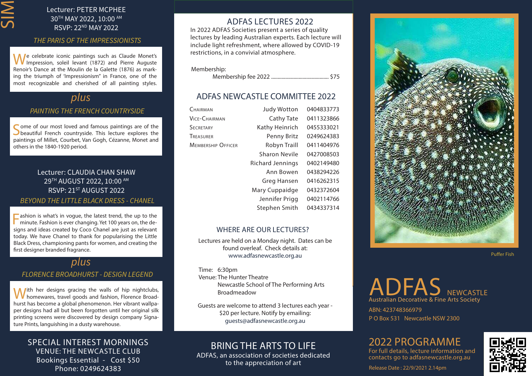# SIM

## Lecturer: PETER MCPHEE 30TH MAY 2022, 10:00 AM RSVP: 22ND MAY 2022

#### *THE PARIS OF THE IMPRESSIONISTS*

We celebrate iconic paintings such as Claude Monet's<br>Impression, soleil levant (1872) and Pierre Auguste Renoir's Dance at the Moulin de la Galette (1876) as marking the triumph of 'Impressionism" in France, one of the most recognizable and cherished of all painting styles.

## *plus*

#### *PAINTING THE FRENCH COUNTRYSIDE*

Some of our most loved and famous paintings are of the beautiful French countryside. This lecture explores the paintings of Millet, Courbet, Van Gogh, Cézanne, Monet and others in the 1840-1920 period.

### Lecturer: CLAUDIA CHAN SHAW 29TH AUGUST 2022, 10:00 AM RSVP: 21<sup>ST</sup> AUGUST 2022 *BEYOND THE LITTLE BLACK DRESS - CHANEL*

**Fashion is what's in vogue, the latest trend, the up to the minute. Fashion is ever changing. Yet 100 years on, the de**signs and ideas created by Coco Chanel are just as relevant today. We have Chanel to thank for popularising the Little Black Dress, championing pants for women, and creating the first designer branded fragrance.

## *plus*

#### *FLORENCE BROADHURST - DESIGN LEGEND*

With her designs gracing the walls of hip nightclubs, homewares, travel goods and fashion, Florence Broadhurst has become a global phenomenon. Her vibrant wallpaper designs had all but been forgotten until her original silk printing screens were discovered by design company Signature Prints, languishing in a dusty warehouse.

## SPECIAL INTEREST MORNINGS VENUE: THE NEWCASTLE CLUB Bookings Essential - Cost \$50 Phone: 0249624383

## ADFAS LECTURES 2022

In 2022 ADFAS Societies present a series of quality lectures by leading Australian experts. Each lecture will include light refreshment, where allowed by COVID-19 restrictions, in a convivial atmosphere.

Membership:

Membership fee 2022 ............................................ \$75

## ADFAS NEWCASTLE COMMITTEE 2022

| CHAIRMAN                  | <b>Judy Wotton</b>   | 0404833773 |
|---------------------------|----------------------|------------|
| VICE-CHAIRMAN             | Cathy Tate           | 0411323866 |
| <b>SECRETARY</b>          | Kathy Heinrich       | 0455333021 |
| TREASURER                 | Penny Britz          | 0249624383 |
| <b>MEMBERSHIP OFFICER</b> | Robyn Traill         | 0411404976 |
|                           | <b>Sharon Nevile</b> | 0427008503 |
|                           | Richard Jennings     | 0402149480 |
|                           | Ann Bowen            | 0438294226 |
|                           | Greg Hansen          | 0416262315 |
|                           | Mary Cuppaidge       | 0432372604 |
|                           | Jennifer Prigg       | 0402114766 |
|                           | Stephen Smith        | 0434337314 |
|                           |                      |            |

#### WHERE ARE OUR LECTURES?

Lectures are held on a Monday night. Dates can be found overleaf. Check details at: www.adfasnewcastle.org.au

 Time: 6:30pm Venue: The Hunter Theatre Newcastle School of The Performing Arts Broadmeadow

Guests are welcome to attend 3 lectures each year - \$20 per lecture. Notify by emailing: guests@adfasnewcastle.org.au

## BRING THE ARTS TO LIFE

ADFAS, an association of societies dedicated to the appreciation of art



Puffer Fish

# ADFAS NEWCASTLE Australian Decorative & Fine Arts Society

P O Box 531 Newcastle NSW 2300 ABN: 423748366979

# 2022 PROGRAMME

For full details, lecture information and contacts go to adfasnewcastle.org.au



Release Date : 22/9/2021 2.14pm